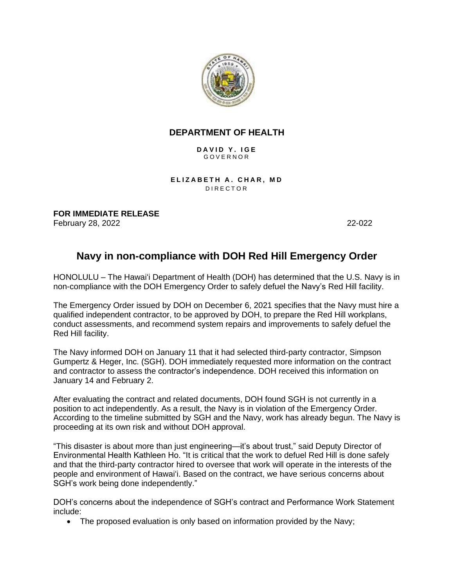

## **DEPARTMENT OF HEALTH**

D A V I D Y . I G E G O V E R N O R

**ELIZABETH A. CHAR, MD DIRECTOR** 

**FOR IMMEDIATE RELEASE** February 28, 2022 22-022

## **Navy in non-compliance with DOH Red Hill Emergency Order**

HONOLULU – The Hawaiʻi Department of Health (DOH) has determined that the U.S. Navy is in non-compliance with the DOH Emergency Order to safely defuel the Navy's Red Hill facility.

The Emergency Order issued by DOH on December 6, 2021 specifies that the Navy must hire a qualified independent contractor, to be approved by DOH, to prepare the Red Hill workplans, conduct assessments, and recommend system repairs and improvements to safely defuel the Red Hill facility.

The Navy informed DOH on January 11 that it had selected third-party contractor, Simpson Gumpertz & Heger, Inc. (SGH). DOH immediately requested more information on the contract and contractor to assess the contractor's independence. DOH received this information on January 14 and February 2.

After evaluating the contract and related documents, DOH found SGH is not currently in a position to act independently. As a result, the Navy is in violation of the Emergency Order. According to the timeline submitted by SGH and the Navy, work has already begun. The Navy is proceeding at its own risk and without DOH approval.

"This disaster is about more than just engineering—it's about trust," said Deputy Director of Environmental Health Kathleen Ho. "It is critical that the work to defuel Red Hill is done safely and that the third-party contractor hired to oversee that work will operate in the interests of the people and environment of Hawaiʻi. Based on the contract, we have serious concerns about SGH's work being done independently."

DOH's concerns about the independence of SGH's contract and Performance Work Statement include:

• The proposed evaluation is only based on information provided by the Navy;